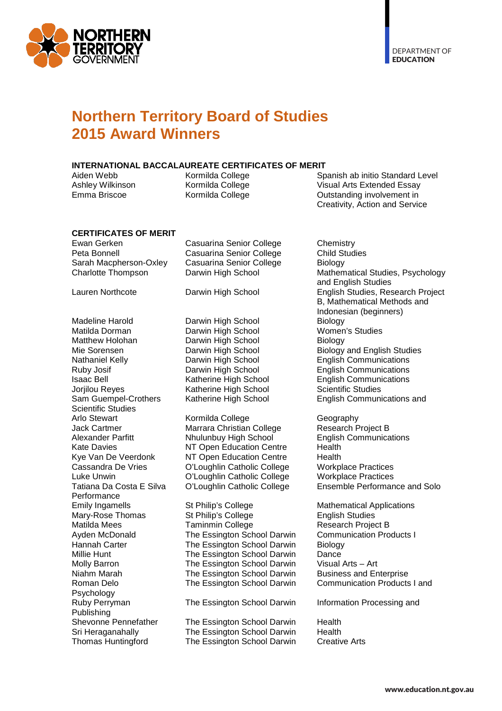

### **Northern Territory Board of Studies 2015 Award Winners**

# **INTERNATIONAL BACCALAUREATE CERTIFICATES OF MERIT**

Aiden Webb Kormilda College Spanish ab initio Standard Level Ashley Wilkinson Kormilda College Visual Arts Extended Essay Outstanding involvement in Creativity, Action and Service

# **CERTIFICATES OF MERIT**

Ewan Gerken Casuarina Senior College Chemistry<br>
Peta Bonnell Casuarina Senior College Child Studies Peta Bonnell **Casuarina Senior College** Child St<br>
Casuarina Senior College Caral Biology Sarah Macpherson-Oxley Casuarina Senior College<br>Charlotte Thompson Darwin High School

Matilda Dorman **Darwin High School** Women<br>Matthew Holohan **Darwin High School** Biology Nathaniel Kelly Darwin High School English Communications Ruby Josif Darwin High School English Communications Jorjilou Reyes Katherine High School Sam Guempel-Crothers Katherine High School English Communications and Scientific Studies<br>Arlo Stewart Jack Cartmer Marrara Christian College<br>Alexander Parfitt Mhulunbuy High School Performance<br>Emily Ingamells Psychology Publishing<br>Shevonne Pennefather

Madeline Harold **Darwin High School** Biology<br>
Matilda Dorman **Darwin High School** Women's Studies Darwin High School<br>Darwin High School

Arlo Stewart Kormilda College Geography Kate Davies NT Open Education Centre Kye Van De Veerdonk MT Open Education Centre Health<br>Cassandra De Vries C'Loughlin Catholic College Workplace Practices Cassandra De Vries <sup>O'Loughlin Catholic College Workplace Practices<br>
Luke Unwin C'Loughlin Catholic College Workplace Practices</sup> O'Loughlin Catholic College

St Philip's College Mathematical Applications<br>
St Philip's College English Studies Mary-Rose Thomas St Philip's College English Studies<br>Matilda Mees Taminmin College Research Proje Matilda Mees **Taminmin College** Research Project B<br>Ayden McDonald **Research Products The Essington School Darwin** Communication Products I The Essington School Darwin Hannah Carter The Essington School Darwin Biology Millie Hunt The Essington School Darwin Dance Molly Barron The Essington School Darwin Visual Arts – Art The Essington School Darwin

Ruby Perryman The Essington School Darwin Information Processing and

The Essington School Darwin Health<br>The Essington School Darwin Health Sri Heraganahally **The Essington School Darwin** Health<br>Thomas Huntingford The Essington School Darwin Creative Arts The Essington School Darwin

Mathematical Studies, Psychology and English Studies Lauren Northcote Darwin High School English Studies, Research Project B, Mathematical Methods and Indonesian (beginners) Mie Sorensen Darwin High School Biology and English Studies<br>
Nathaniel Kelly Darwin High School English Comm **English Communications**<br>Scientific Studies

English Communications<br>Health Luke Unwin O'Loughlin Catholic College Workplace Practices

Niahm Marah The Essington School Darwin Business and Enterprise<br>Roman Delo The Essington School Darwin Communication Products I and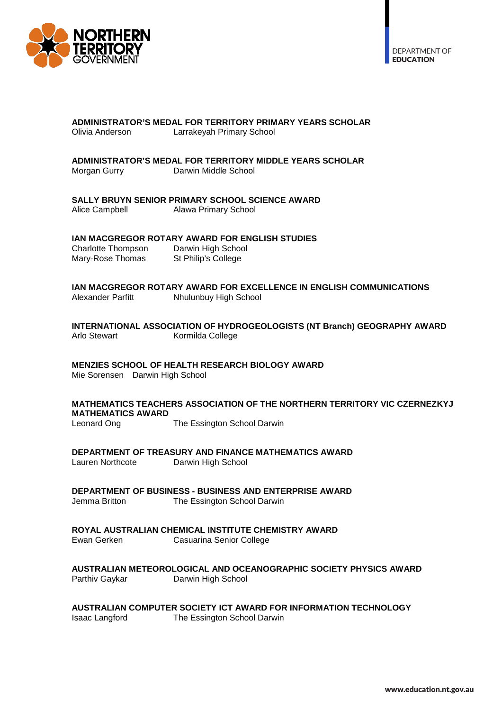

# **ADMINISTRATOR'S MEDAL FOR TERRITORY PRIMARY YEARS SCHOLAR**

Larrakeyah Primary School

# **ADMINISTRATOR'S MEDAL FOR TERRITORY MIDDLE YEARS SCHOLAR**

Darwin Middle School

#### **SALLY BRUYN SENIOR PRIMARY SCHOOL SCIENCE AWARD**

Alice Campbell Alawa Primary School

#### **IAN MACGREGOR ROTARY AWARD FOR ENGLISH STUDIES**

Charlotte Thompson Darwin High School<br>Mary-Rose Thomas St Philip's College Mary-Rose Thomas

# **IAN MACGREGOR ROTARY AWARD FOR EXCELLENCE IN ENGLISH COMMUNICATIONS**

**Nhulunbuy High School** 

#### **INTERNATIONAL ASSOCIATION OF HYDROGEOLOGISTS (NT Branch) GEOGRAPHY AWARD** Kormilda College

### **MENZIES SCHOOL OF HEALTH RESEARCH BIOLOGY AWARD**

Mie Sorensen Darwin High School

### **MATHEMATICS TEACHERS ASSOCIATION OF THE NORTHERN TERRITORY VIC CZERNEZKYJ MATHEMATICS AWARD**

The Essington School Darwin

# **DEPARTMENT OF TREASURY AND FINANCE MATHEMATICS AWARD**<br>Lauren Northcote **Darwin High School**

Darwin High School

**DEPARTMENT OF BUSINESS - BUSINESS AND ENTERPRISE AWARD**

Jemma Britton The Essington School Darwin

#### **ROYAL AUSTRALIAN CHEMICAL INSTITUTE CHEMISTRY AWARD**

Ewan Gerken Casuarina Senior College

#### **AUSTRALIAN METEOROLOGICAL AND OCEANOGRAPHIC SOCIETY PHYSICS AWARD** Darwin High School

**AUSTRALIAN COMPUTER SOCIETY ICT AWARD FOR INFORMATION TECHNOLOGY**

The Essington School Darwin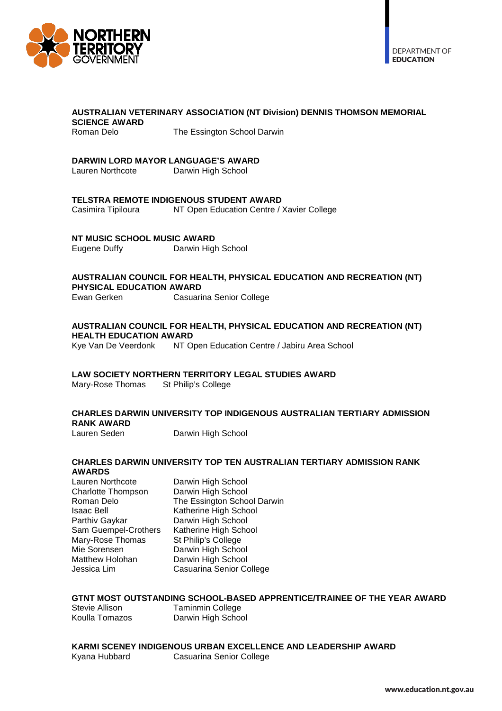

#### **AUSTRALIAN VETERINARY ASSOCIATION (NT Division) DENNIS THOMSON MEMORIAL SCIENCE AWARD**

Roman Delo **The Essington School Darwin** 

# **DARWIN LORD MAYOR LANGUAGE'S AWARD<br>Lauren Northcote Darwin High School**

Darwin High School

# **TELSTRA REMOTE INDIGENOUS STUDENT AWARD**<br>Casimira Tipiloura MT Open Education Centre /

NT Open Education Centre / Xavier College

# **NT MUSIC SCHOOL MUSIC AWARD**<br>Eugene Duffy **Darwin High**

Darwin High School

### **AUSTRALIAN COUNCIL FOR HEALTH, PHYSICAL EDUCATION AND RECREATION (NT) PHYSICAL EDUCATION AWARD**<br>Ewan Gerken **Casuari**

Casuarina Senior College

### **AUSTRALIAN COUNCIL FOR HEALTH, PHYSICAL EDUCATION AND RECREATION (NT) HEALTH EDUCATION AWARD**<br>Kye Van De Veerdonk NT O

NT Open Education Centre / Jabiru Area School

# **LAW SOCIETY NORTHERN TERRITORY LEGAL STUDIES AWARD**

Mary-Rose Thomas

#### **CHARLES DARWIN UNIVERSITY TOP INDIGENOUS AUSTRALIAN TERTIARY ADMISSION RANK AWARD**

Lauren Seden Darwin High School

#### **CHARLES DARWIN UNIVERSITY TOP TEN AUSTRALIAN TERTIARY ADMISSION RANK AWARDS**

Lauren Northcote Darwin High School<br>Charlotte Thompson Darwin High School Charlotte Thompson Isaac Bell **Isaac Bell** Katherine High School<br>
Parthiv Gaykar **Darwin High School** Sam Guempel-Crothers Mary-Rose Thomas St Philip's College<br>Mie Sorensen Marwin High Schoo Matthew Holohan

Roman Delo **The Essington School Darwin** Darwin High School<br>Katherine High School Darwin High School<br>Darwin High School Jessica Lim Casuarina Senior College

# **GTNT MOST OUTSTANDING SCHOOL-BASED APPRENTICE/TRAINEE OF THE YEAR AWARD**<br>Stevie Allison **Taminmin College**

Stevie Allison **Taminmin College**<br>
Koulla Tomazos Darwin High Schoo Darwin High School

### **KARMI SCENEY INDIGENOUS URBAN EXCELLENCE AND LEADERSHIP AWARD** Kyana Hubbard Casuarina Senior College